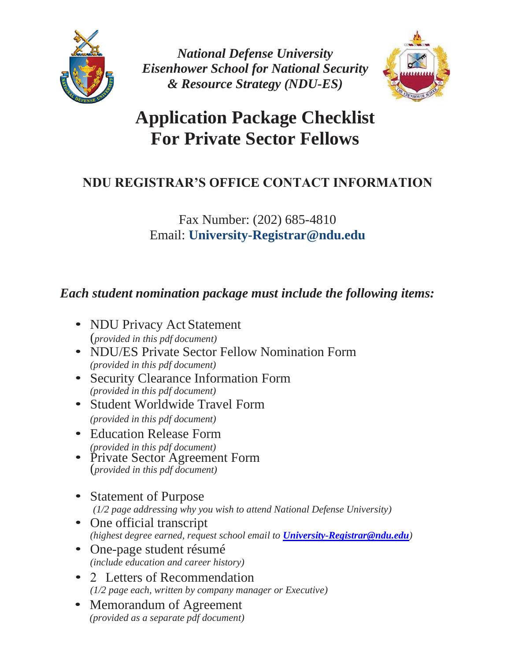

*National Defense University Eisenhower School for National Security & Resource Strategy (NDU-ES)*



## **Application Package Checklist For Private Sector Fellows**

### **NDU REGISTRAR'S OFFICE CONTACT INFORMATION**

#### Fax Number: (202) 685-4810 Email: **University-Registrar@ndu.edu**

#### *Each student nomination package must include the following items:*

- NDU Privacy Act Statement (*provided in this pdf document)*
- NDU/ES Private Sector Fellow Nomination Form *(provided in this pdf document)*
- Security Clearance Information Form *(provided in this pdf document)*
- Student Worldwide Travel Form *(provided in this pdf document)*
- Education Release Form *(provided in this pdf document)*
- Private Sector Agreement Form (*provided in this pdf document)*
- Statement of Purpose *(1/2 page addressing why you wish to attend National Defense University)*
- One official transcript *(highest degree earned, request school email to [University-Registrar@ndu.edu](mailto:University-Registrar@ndu.edu))*
- One-page student résumé *(include education and career history)*
- 2 Letters of Recommendation *(1/2 page each, written by company manager or Executive)*
- Memorandum of Agreement *(provided as a separate pdf document)*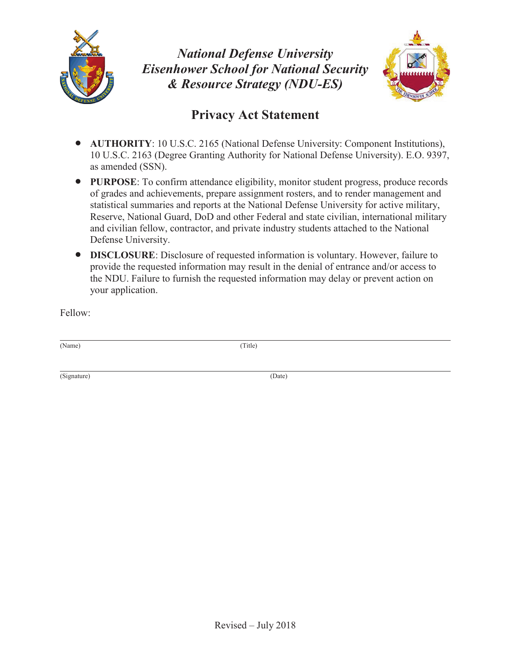

*National Defense University Eisenhower School for National Security & Resource Strategy (NDU-ES)* 



#### **Privacy Act Statement**

- x **AUTHORITY**: 10 U.S.C. 2165 (National Defense University: Component Institutions), 10 U.S.C. 2163 (Degree Granting Authority for National Defense University). E.O. 9397, as amended (SSN).
- **PURPOSE:** To confirm attendance eligibility, monitor student progress, produce records of grades and achievements, prepare assignment rosters, and to render management and statistical summaries and reports at the National Defense University for active military, Reserve, National Guard, DoD and other Federal and state civilian, international military and civilian fellow, contractor, and private industry students attached to the National Defense University.
- **DISCLOSURE:** Disclosure of requested information is voluntary. However, failure to provide the requested information may result in the denial of entrance and/or access to the NDU. Failure to furnish the requested information may delay or prevent action on your application.

Fellow:

(Name) (Title)

(Signature) (Date)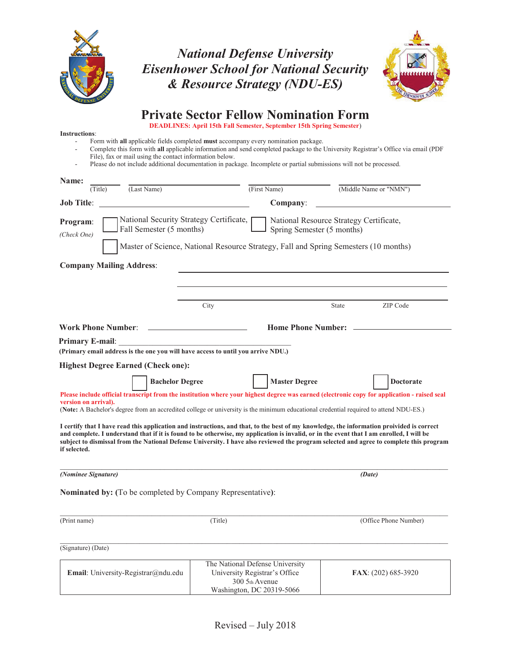

#### *National Defense University Eisenhower School for National Security & Resource Strategy (NDU-ES)*



#### **Private Sector Fellow Nomination Form**

**DEADLINES: April 15th Fall Semester, September 15th Spring Semester**)

- **Instructions**: - Form with **all** applicable fields completed **must** accompany every nomination package.
	- Complete this form with **all** applicable information and send completed package to the University Registrar's Office via email (PDF File), fax or mail using the contact information below.
	- Please do not include additional documentation in package. Incomplete or partial submissions will not be processed.

| Name:                                                                                                                                                                                                                                                                                                                                                                                                                                            |                                                                                                                 |                      |       |                        |  |
|--------------------------------------------------------------------------------------------------------------------------------------------------------------------------------------------------------------------------------------------------------------------------------------------------------------------------------------------------------------------------------------------------------------------------------------------------|-----------------------------------------------------------------------------------------------------------------|----------------------|-------|------------------------|--|
| (Last Name)<br>(Title)                                                                                                                                                                                                                                                                                                                                                                                                                           |                                                                                                                 | (First Name)         |       | (Middle Name or "NMN") |  |
| <b>Job Title:</b>                                                                                                                                                                                                                                                                                                                                                                                                                                |                                                                                                                 | Company:             |       |                        |  |
| National Security Strategy Certificate,<br>National Resource Strategy Certificate,<br>Program:<br>Fall Semester (5 months)<br>Spring Semester (5 months)<br>(Check One)<br>Master of Science, National Resource Strategy, Fall and Spring Semesters (10 months)                                                                                                                                                                                  |                                                                                                                 |                      |       |                        |  |
|                                                                                                                                                                                                                                                                                                                                                                                                                                                  |                                                                                                                 |                      |       |                        |  |
| <b>Company Mailing Address:</b>                                                                                                                                                                                                                                                                                                                                                                                                                  |                                                                                                                 |                      |       |                        |  |
|                                                                                                                                                                                                                                                                                                                                                                                                                                                  |                                                                                                                 |                      |       |                        |  |
|                                                                                                                                                                                                                                                                                                                                                                                                                                                  |                                                                                                                 |                      |       |                        |  |
|                                                                                                                                                                                                                                                                                                                                                                                                                                                  | City                                                                                                            |                      | State | ZIP Code               |  |
| <b>Work Phone Number:</b>                                                                                                                                                                                                                                                                                                                                                                                                                        | <b>Home Phone Number:</b>                                                                                       |                      |       |                        |  |
| <b>Primary E-mail:</b>                                                                                                                                                                                                                                                                                                                                                                                                                           |                                                                                                                 |                      |       |                        |  |
| (Primary email address is the one you will have access to until you arrive NDU.)                                                                                                                                                                                                                                                                                                                                                                 |                                                                                                                 |                      |       |                        |  |
| <b>Highest Degree Earned (Check one):</b>                                                                                                                                                                                                                                                                                                                                                                                                        |                                                                                                                 |                      |       |                        |  |
| <b>Bachelor Degree</b>                                                                                                                                                                                                                                                                                                                                                                                                                           |                                                                                                                 | <b>Master Degree</b> |       | <b>Doctorate</b>       |  |
| Please include official transcript from the institution where your highest degree was earned (electronic copy for application - raised seal<br>version on arrival).<br>(Note: A Bachelor's degree from an accredited college or university is the minimum educational credential required to attend NDU-ES.)                                                                                                                                     |                                                                                                                 |                      |       |                        |  |
| I certify that I have read this application and instructions, and that, to the best of my knowledge, the information proivided is correct<br>and complete. I understand that if it is found to be otherwise, my application is invalid, or in the event that I am enrolled, I will be<br>subject to dismissal from the National Defense University. I have also reviewed the program selected and agree to complete this program<br>if selected. |                                                                                                                 |                      |       |                        |  |
| (Nominee Signature)                                                                                                                                                                                                                                                                                                                                                                                                                              |                                                                                                                 |                      |       | (Date)                 |  |
| <b>Nominated by:</b> (To be completed by Company Representative):                                                                                                                                                                                                                                                                                                                                                                                |                                                                                                                 |                      |       |                        |  |
|                                                                                                                                                                                                                                                                                                                                                                                                                                                  |                                                                                                                 |                      |       |                        |  |
| (Print name)                                                                                                                                                                                                                                                                                                                                                                                                                                     | (Title)                                                                                                         |                      |       | (Office Phone Number)  |  |
|                                                                                                                                                                                                                                                                                                                                                                                                                                                  |                                                                                                                 |                      |       |                        |  |
| (Signature) (Date)                                                                                                                                                                                                                                                                                                                                                                                                                               |                                                                                                                 |                      |       |                        |  |
| <b>Email:</b> University-Registrar@ndu.edu                                                                                                                                                                                                                                                                                                                                                                                                       | The National Defense University<br>University Registrar's Office<br>300 5th Avenue<br>Washington, DC 20319-5066 |                      |       | FAX: (202) 685-3920    |  |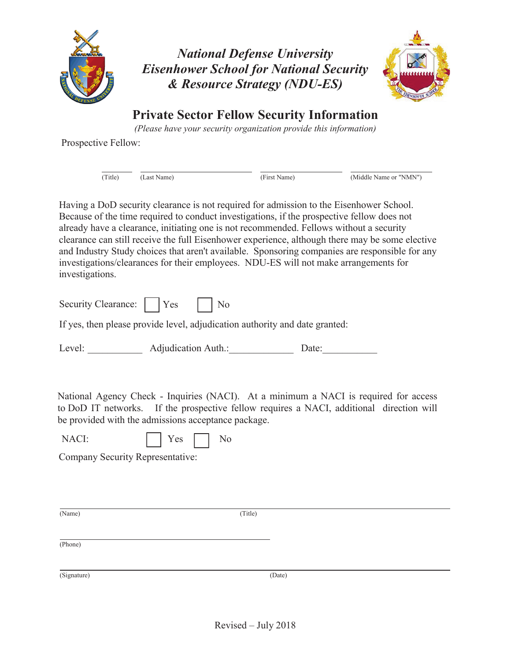

*National Defense University Eisenhower School for National Security & Resource Strategy (NDU-ES)* 



**Private Sector Fellow Security Information** 

*(Please have your security organization provide this information)* 

Prospective Fellow:

(Title) (Last Name) (First Name) (Middle Name or "NMN")

Having a DoD security clearance is not required for admission to the Eisenhower School. Because of the time required to conduct investigations, if the prospective fellow does not already have a clearance, initiating one is not recommended. Fellows without a security clearance can still receive the full Eisenhower experience, although there may be some elective and Industry Study choices that aren't available. Sponsoring companies are responsible for any investigations/clearances for their employees. NDU-ES will not make arrangements for investigations.

| Security Clearance: | <b>Yes</b> | $\overline{N_0}$ |
|---------------------|------------|------------------|
|---------------------|------------|------------------|

If yes, then please provide level, adjudication authority and date granted:

Level: Adjudication Auth.: Date:

National Agency Check - Inquiries (NACI). At a minimum a NACI is required for access to DoD IT networks. If the prospective fellow requires a NACI, additional direction will be provided with the admissions acceptance package.

Company Security Representative:

(Name) (Title)

(Phone)

(Signature) (Date)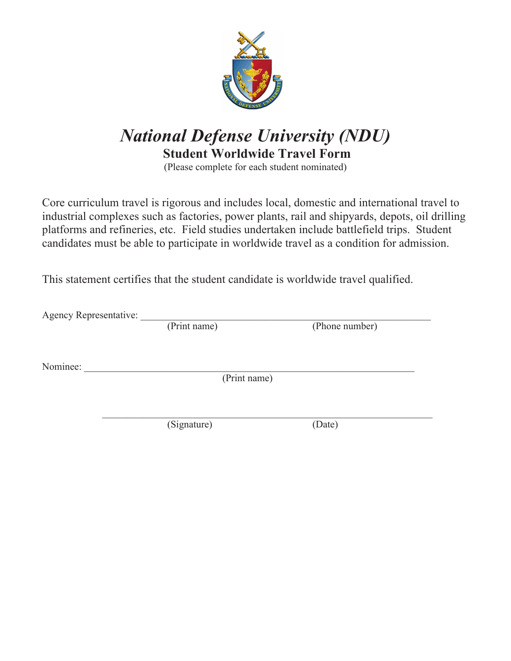

## *National Defense University (NDU)*   **Student Worldwide Travel Form**

(Please complete for each student nominated)

Core curriculum travel is rigorous and includes local, domestic and international travel to industrial complexes such as factories, power plants, rail and shipyards, depots, oil drilling platforms and refineries, etc. Field studies undertaken include battlefield trips. Student candidates must be able to participate in worldwide travel as a condition for admission.

This statement certifies that the student candidate is worldwide travel qualified.

Agency Representative: \_\_\_\_\_\_\_\_\_\_\_\_\_\_\_\_\_\_\_\_\_\_\_\_\_\_\_\_\_\_\_\_\_\_\_\_\_\_\_\_\_\_\_\_\_\_\_\_\_\_\_\_\_\_\_\_\_\_ (Phone number)

Nominee:

(Print name)

 $\mathcal{L}_\text{max} = \mathcal{L}_\text{max} = \mathcal{L}_\text{max} = \mathcal{L}_\text{max} = \mathcal{L}_\text{max} = \mathcal{L}_\text{max} = \mathcal{L}_\text{max} = \mathcal{L}_\text{max} = \mathcal{L}_\text{max} = \mathcal{L}_\text{max} = \mathcal{L}_\text{max} = \mathcal{L}_\text{max} = \mathcal{L}_\text{max} = \mathcal{L}_\text{max} = \mathcal{L}_\text{max} = \mathcal{L}_\text{max} = \mathcal{L}_\text{max} = \mathcal{L}_\text{max} = \mathcal{$ 

(Signature) (Date)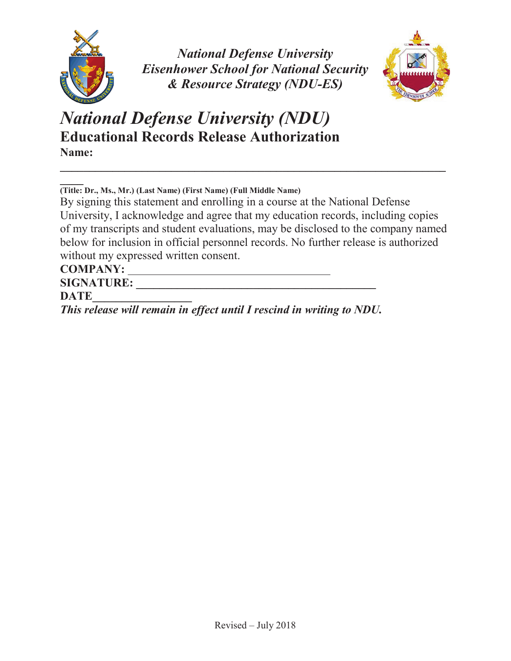

*National Defense University Eisenhower School for National Security & Resource Strategy (NDU-ES)* 



*National Defense University (NDU)* **Educational Records Release Authorization Name:** 

**\_\_\_\_ (Title: Dr., Ms., Mr.) (Last Name) (First Name) (Full Middle Name)**

By signing this statement and enrolling in a course at the National Defense University, I acknowledge and agree that my education records, including copies of my transcripts and student evaluations, may be disclosed to the company named below for inclusion in official personnel records. No further release is authorized without my expressed written consent.

**COMPANY:** 

 $SIGNATURE:$ 

**DATE\_\_\_\_\_\_\_\_\_\_\_\_\_\_\_\_\_**

*This release will remain in effect until I rescind in writing to NDU.*